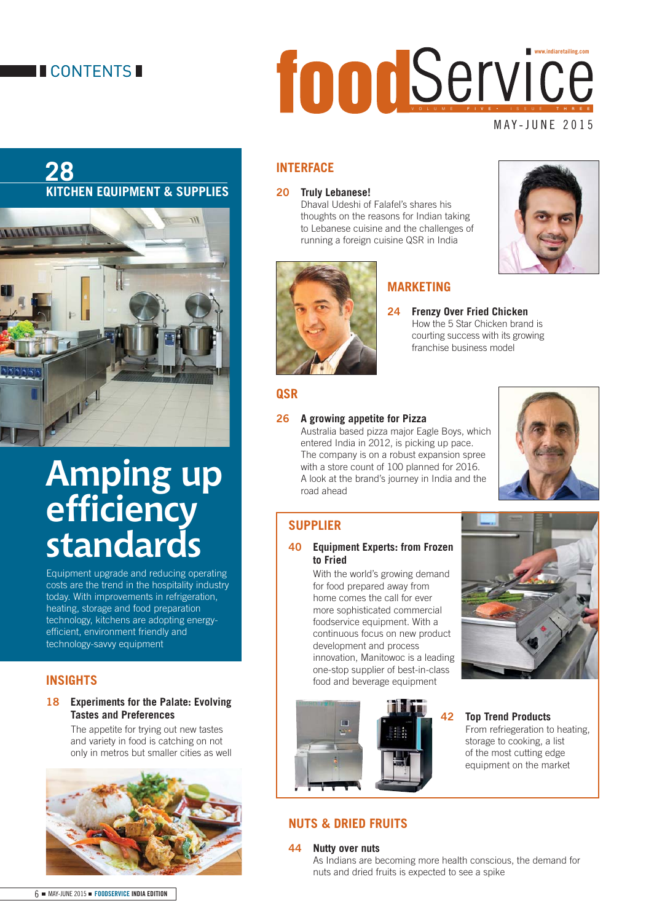## **II** CONTENTS **I**

## **28 KITCHEN EQUIPMENT & SUPPLIES**



# **Amping up effi ciency standards**

Equipment upgrade and reducing operating costs are the trend in the hospitality industry today. With improvements in refrigeration, heating, storage and food preparation technology, kitchens are adopting energyefficient, environment friendly and technology-savvy equipment

## **INSIGHTS**

#### **18 Experiments for the Palate: Evolving Tastes and Preferences**

 The appetite for trying out new tastes and variety in food is catching on not only in metros but smaller cities as well



# MAY-JUNE 2015 VOLUME FIVE • ISSUE THREE **www.indiaretailing.com**

## **INTERFACE**

## **20 Truly Lebanese!**

 Dhaval Udeshi of Falafel's shares his thoughts on the reasons for Indian taking to Lebanese cuisine and the challenges of running a foreign cuisine QSR in India



## **MARKETING**

**24 Frenzy Over Fried Chicken**  How the 5 Star Chicken brand is courting success with its growing franchise business model

## **QSR**

## **26 A growing appetite for Pizza**

 Australia based pizza major Eagle Boys, which entered India in 2012, is picking up pace. The company is on a robust expansion spree with a store count of 100 planned for 2016. A look at the brand's journey in India and the road ahead



## **SUPPLIER**

#### **40 Equipment Experts: from Frozen to Fried**

 With the world's growing demand for food prepared away from home comes the call for ever more sophisticated commercial foodservice equipment. With a continuous focus on new product development and process innovation, Manitowoc is a leading one-stop supplier of best-in-class food and beverage equipment





#### **42 Top Trend Products**

From refriegeration to heating, storage to cooking, a list of the most cutting edge equipment on the market

## **NUTS & DRIED FRUITS**

#### **44 Nutty over nuts**

 As Indians are becoming more health conscious, the demand for nuts and dried fruits is expected to see a spike